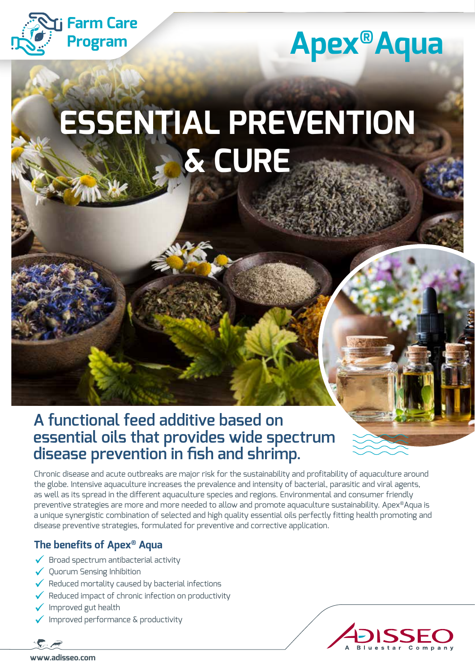

## **Apex®Aqua**

# **ESSENTIAL PREVENTION & CURE**

## **A functional feed additive based on essential oils that provides wide spectrum disease prevention in fish and shrimp.**

Chronic disease and acute outbreaks are major risk for the sustainability and profitability of aquaculture around the globe. Intensive aquaculture increases the prevalence and intensity of bacterial, parasitic and viral agents, as well as its spread in the different aquaculture species and regions. Environmental and consumer friendly preventive strategies are more and more needed to allow and promote aquaculture sustainability. Apex®Aqua is a unique synergistic combination of selected and high quality essential oils perfectly fitting health promoting and disease preventive strategies, formulated for preventive and corrective application.

### **The benefits of Apex® Aqua**

- $\checkmark$  Broad spectrum antibacterial activity
- $\sqrt{\,}$  Quorum Sensing Inhibition
- $\checkmark$  Reduced mortality caused by bacterial infections
- $\checkmark$  Reduced impact of chronic infection on productivity
- $\checkmark$  Improved gut health
- $\checkmark$  Improved performance  $\&$  productivity